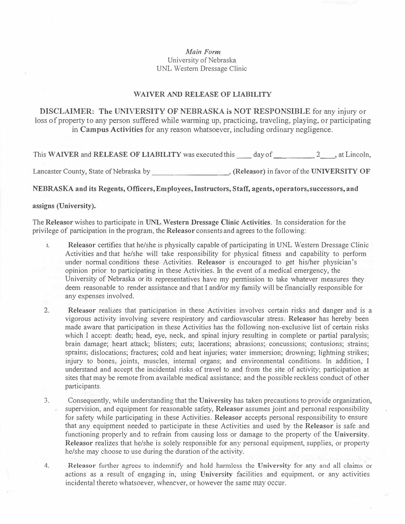## *Main Form*  University of Nebraska UNL Western Dressage Clinic

## **W AIYER AND RELEASE OF LIABILITY**

**DISCLAIMER: The UNIVERSITY OF NEBRASKA is NOT RESPONSIBLE** for any injury or loss of property to any person suffered while warming up, practicing, traveling, playing, or participating in **Campus Activities** for any reason whatsoever, including ordinary negligence.

This WAIVER and RELEASE OF LIABILITY was executed this \_\_\_\_ day of \_\_\_\_\_\_\_\_\_\_ 2\_\_\_, at Lincoln,

Lancaster County, State of Nebraska by **(Releasor)** in favor of the **UNIVERSITY OF** 

**NEBRASKA and its Regents, Officers, Employees, Instructors, Staff, agents, operators, successors, and** 

## **assigns (University).**

The **Releasor** wishes to participate in **UNL Western Dressage Clinic Activities.** In consideration for the privilege of participation in the program, the **Releasor** consents and agrees to the following:

- 1. **Releasor** certifies that he/she is physically capable of participating in UNL Western Dressage Clinic Activities and that he/she will take responsibility for physical fitness and capability to perform under nonnal conditions these Activities. **Releasor** is encouraged to get his/her physician's opinion prior to participating in these Activities. In the event of a medical emergency, the University of Nebraska or its representatives have my permission to take whatever measures they deem reasonable to render assistance and that I and/or my family will be financially responsible for any expenses involved.
- 2. **Releasor** realizes that participation in these Activities involves certain risks and danger and is a vigorous activity involving severe respiratory and cardiovascular stress. **Releasor** has hereby been made aware that participation in these Activities has the following non-exclusive list of certain risks which I accept: death; head, eye, neck, and spinal injury resulting in complete or partial paralysis; brain damage; heart attack; blisters; cuts; lacerations; abrasions; concussions; contusions; strains; sprains; dislocations; fractures; cold and heat injuries; water immersion; drowning; lightning strikes; injury to bones, joints, muscles, internal organs; and environmental conditions. In addition, I understand and accept the incidental risks of travel to and from the site of activity; participation at sites that may be remote from available medical assistance; and the possible reckless conduct of other participants.
- 3. Consequently, while understanding that the **University** has taken precautions to provide organization, supervision, and equipment for reasonable safety, **Releasor** assumes joint and personal responsibility for safety while participating in these Activities . **Releasor** accepts personal responsibility to ensure that any equipment needed to participate in these Activities and used by the **Releasor** is safe and functioning properly and to refrain from causing loss or damage to the property of the **University. Releasor** realizes that he/she is solely responsible for any personal equipment, supplies, or property he/she may choose to use during the duration of the activity.
- 4. Releasor further agrees to indemnify and hold harmless the University for any and all claims or actions as a result of engaging in, using University facilities and equipment, or any activities incidental thereto whatsoever, whenever, or however the same may occur.